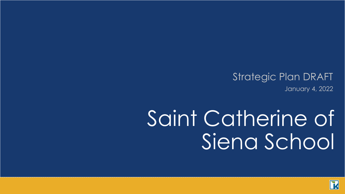#### Strategic Plan DRAFT January 4, 2022

# Saint Catherine of Siena School

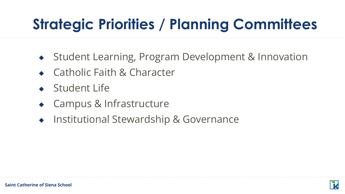# **Strategic Priorities / Planning Committees**

- ◆ Student Learning, Program Development & Innovation
- ◆ Catholic Faith & Character
- ◆ Student Life
- **Campus & Infrastructure**
- ◆ Institutional Stewardship & Governance

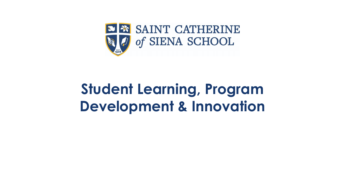

#### **Student Learning, Program Development & Innovation**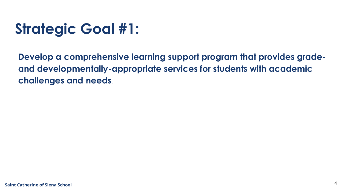**Develop a comprehensive learning support program that provides gradeand developmentally-appropriate services for students with academic challenges and needs.**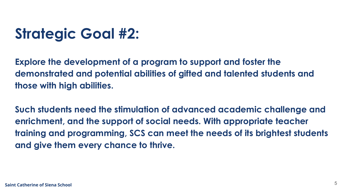**Explore the development of a program to support and foster the demonstrated and potential abilities of gifted and talented students and those with high abilities.** 

**Such students need the stimulation of advanced academic challenge and enrichment, and the support of social needs. With appropriate teacher training and programming, SCS can meet the needs of its brightest students and give them every chance to thrive.**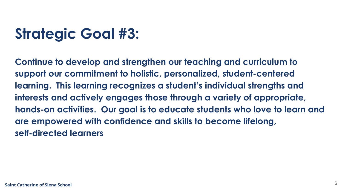**Continue to develop and strengthen our teaching and curriculum to support our commitment to holistic, personalized, student-centered learning. This learning recognizes a student's individual strengths and interests and actively engages those through a variety of appropriate, hands-on activities. Our goal is to educate students who love to learn and are empowered with confidence and skills to become lifelong, self-directed learners**.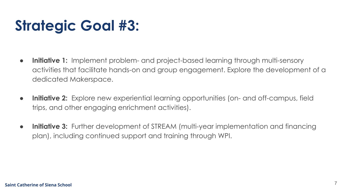- **● Initiative 1:** Implement problem- and project-based learning through multi-sensory activities that facilitate hands-on and group engagement. Explore the development of a dedicated Makerspace.
- **● Initiative 2:** Explore new experiential learning opportunities (on- and off-campus, field trips, and other engaging enrichment activities).
- **● Initiative 3:** Further development of STREAM (multi-year implementation and financing plan), including continued support and training through WPI.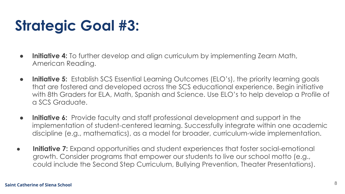- **● Initiative 4:** To further develop and align curriculum by implementing Zearn Math, American Reading.
- **● Initiative 5:** Establish SCS Essential Learning Outcomes (ELO's), the priority learning goals that are fostered and developed across the SCS educational experience. Begin initiative with 8th Graders for ELA, Math, Spanish and Science. Use ELO's to help develop a Profile of a SCS Graduate.
- **● Initiative 6:** Provide faculty and staff professional development and support in the implementation of student-centered learning. Successfully integrate within one academic discipline (e.g., mathematics), as a model for broader, curriculum-wide implementation.
- **● Initiative 7:** Expand opportunities and student experiences that foster social-emotional growth. Consider programs that empower our students to live our school motto (e.g., could include the Second Step Curriculum, Bullying Prevention, Theater Presentations).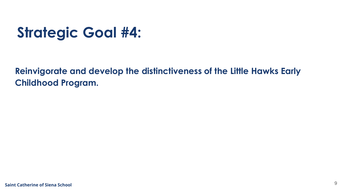**Reinvigorate and develop the distinctiveness of the Little Hawks Early Childhood Program.**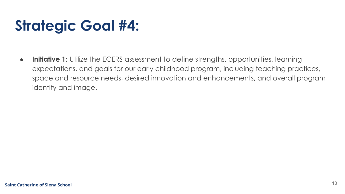**• Initiative 1:** Utilize the ECERS assessment to define strengths, opportunities, learning expectations, and goals for our early childhood program, including teaching practices, space and resource needs, desired innovation and enhancements, and overall program identity and image.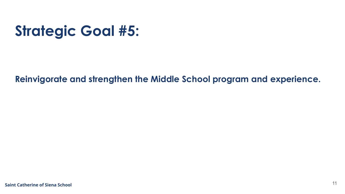**Reinvigorate and strengthen the Middle School program and experience.**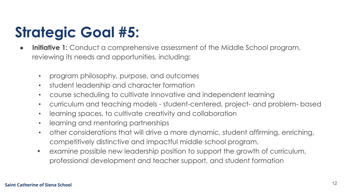- **Initiative 1:** Conduct a comprehensive assessment of the Middle School program, reviewing its needs and opportunities, including:
	- program philosophy, purpose, and outcomes
	- student leadership and character formation
	- course scheduling to cultivate innovative and independent learning
	- curriculum and teaching models student-centered, project- and problem- based
	- learning spaces, to cultivate creativity and collaboration
	- learning and mentoring partnerships
	- other considerations that will drive a more dynamic, student affirming, enriching, competitively distinctive and impactful middle school program.
	- examine possible new leadership position to support the growth of curriculum, professional development and teacher support, and student formation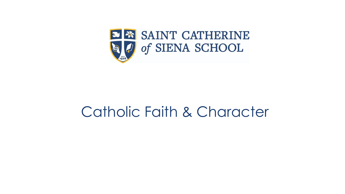

#### Catholic Faith & Character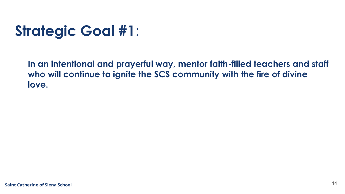**In an intentional and prayerful way, mentor faith-filled teachers and staff who will continue to ignite the SCS community with the fire of divine love.**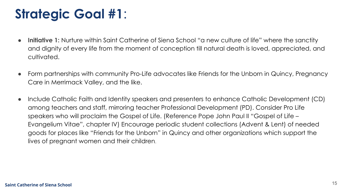- **Initiative 1:** Nurture within Saint Catherine of Siena School "a new culture of life" where the sanctity and dignity of every life from the moment of conception till natural death is loved, appreciated, and cultivated.
- Form partnerships with community Pro-Life advocates like Friends for the Unborn in Quincy, Pregnancy Care in Merrimack Valley, and the like.
- Include Catholic Faith and Identity speakers and presenters to enhance Catholic Development (CD) among teachers and staff, mirroring teacher Professional Development (PD). Consider Pro Life speakers who will proclaim the Gospel of Life. (Reference Pope John Paul II "Gospel of Life – Evangelium Vitae", chapter IV) Encourage periodic student collections (Advent & Lent) of needed goods for places like "Friends for the Unborn" in Quincy and other organizations which support the lives of pregnant women and their children.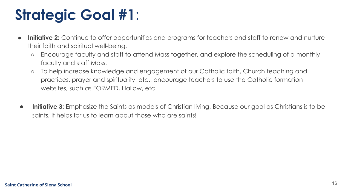- **Initiative 2:** Continue to offer opportunities and programs for teachers and staff to renew and nurture their faith and spiritual well-being.
	- Encourage faculty and staff to attend Mass together, and explore the scheduling of a monthly faculty and staff Mass.
	- To help increase knowledge and engagement of our Catholic faith, Church teaching and practices, prayer and spirituality, etc., encourage teachers to use the Catholic formation websites, such as FORMED, Hallow, etc.
- **● Initiative 3:** Emphasize the Saints as models of Christian living. Because our goal as Christians is to be saints, it helps for us to learn about those who are saints!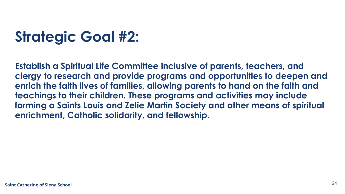**Establish a Spiritual Life Committee inclusive of parents, teachers, and clergy to research and provide programs and opportunities to deepen and enrich the faith lives of families, allowing parents to hand on the faith and teachings to their children. These programs and activities may include forming a Saints Louis and Zelie Martin Society and other means of spiritual enrichment, Catholic solidarity, and fellowship.**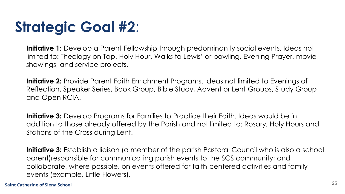**Initiative 1:** Develop a Parent Fellowship through predominantly social events. Ideas not limited to: Theology on Tap, Holy Hour, Walks to Lewis' or bowling, Evening Prayer, movie showings, and service projects.

**Initiative 2:** Provide Parent Faith Enrichment Programs. Ideas not limited to Evenings of Reflection, Speaker Series, Book Group, Bible Study, Advent or Lent Groups, Study Group and Open RCIA.

**Initiative 3:** Develop Programs for Families to Practice their Faith. Ideas would be in addition to those already offered by the Parish and not limited to: Rosary, Holy Hours and Stations of the Cross during Lent.

**Initiative 3:** Establish a liaison (a member of the parish Pastoral Council who is also a school parent)responsible for communicating parish events to the SCS community; and collaborate, where possible, on events offered for faith-centered activities and family events (example, Little Flowers).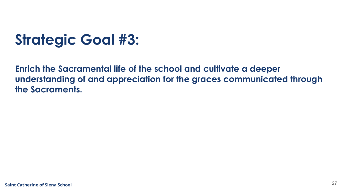**Enrich the Sacramental life of the school and cultivate a deeper understanding of and appreciation for the graces communicated through the Sacraments.**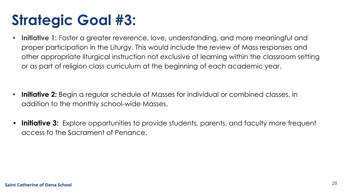**• Initiative 1:** Foster a greater reverence, love, understanding, and more meaningful and proper participation in the Liturgy. This would include the review of Mass responses and other appropriate liturgical instruction not exclusive of learning within the classroom setting or as part of religion class curriculum at the beginning of each academic year.

- **• Initiative 2:** Begin a regular schedule of Masses for individual or combined classes, in addition to the monthly school-wide Masses.
- **Initiative 3:** Explore opportunities to provide students, parents, and faculty more frequent access to the Sacrament of Penance.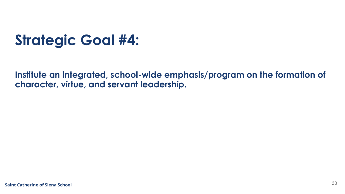**Institute an integrated, school-wide emphasis/program on the formation of character, virtue, and servant leadership.**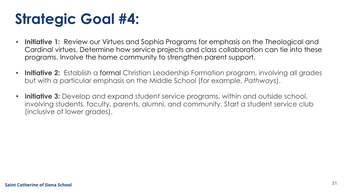- **• Initiative 1:** Review our Virtues and Sophia Programs for emphasis on the Theological and Cardinal virtues. Determine how service projects and class collaboration can tie into these programs. Involve the home community to strengthen parent support.
- **• Initiative 2:** Establish a formal Christian Leadership Formation program, involving all grades but with a particular emphasis on the Middle School (for example, *Pathways*).
- **• Initiative 3:** Develop and expand student service programs, within and outside school, involving students, faculty, parents, alumni, and community. Start a student service club (inclusive of lower grades).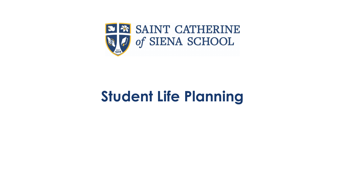

#### **Student Life Planning**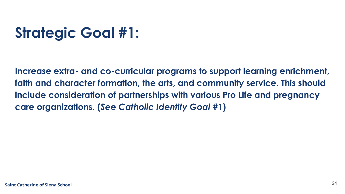**Increase extra- and co-curricular programs to support learning enrichment, faith and character formation, the arts, and community service. This should include consideration of partnerships with various Pro Life and pregnancy care organizations. (***See Catholic Identity Goal* **#1)**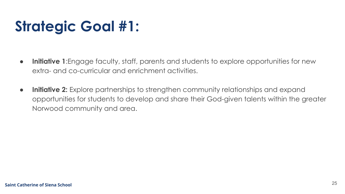- **● Initiative 1**:Engage faculty, staff, parents and students to explore opportunities for new extra- and co-curricular and enrichment activities.
- **Initiative 2:** Explore partnerships to strengthen community relationships and expand opportunities for students to develop and share their God-given talents within the greater Norwood community and area.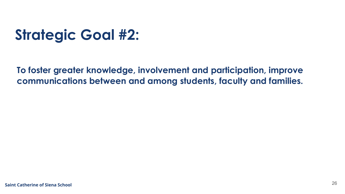**To foster greater knowledge, involvement and participation, improve communications between and among students, faculty and families.**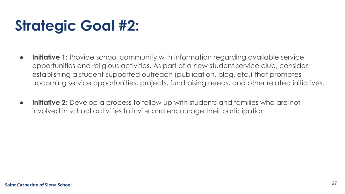- **● Initiative 1:** Provide school community with information regarding available service opportunities and religious activities. As part of a new student service club, consider establishing a student-supported outreach (publication, blog, etc.) that promotes upcoming service opportunities, projects, fundraising needs, and other related initiatives.
- **● Initiative 2:** Develop a process to follow up with students and families who are not involved in school activities to invite and encourage their participation.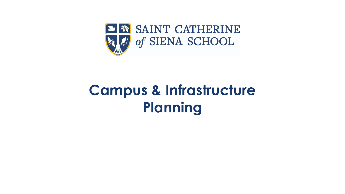

#### **Campus & Infrastructure Planning**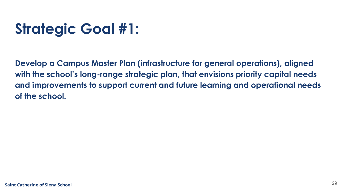**Develop a Campus Master Plan (infrastructure for general operations), aligned with the school's long-range strategic plan, that envisions priority capital needs and improvements to support current and future learning and operational needs of the school.**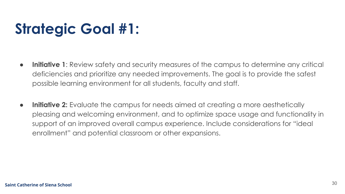- **● Initiative 1**: Review safety and security measures of the campus to determine any critical deficiencies and prioritize any needed improvements. The goal is to provide the safest possible learning environment for all students, faculty and staff.
- **● Initiative 2:** Evaluate the campus for needs aimed at creating a more aesthetically pleasing and welcoming environment, and to optimize space usage and functionality in support of an improved overall campus experience. Include considerations for "ideal enrollment" and potential classroom or other expansions.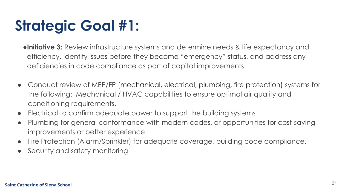- **●Initiative 3:** Review infrastructure systems and determine needs & life expectancy and efficiency. Identify issues before they become "emergency" status, and address any deficiencies in code compliance as part of capital improvements.
- Conduct review of MEP/FP (mechanical, electrical, plumbing, fire protection) systems for the following: Mechanical / HVAC capabilities to ensure optimal air quality and conditioning requirements.
- Electrical to confirm adequate power to support the building systems
- Plumbing for general conformance with modern codes, or opportunities for cost-saving improvements or better experience.
- Fire Protection (Alarm/Sprinkler) for adequate coverage, building code compliance.
- Security and safety monitoring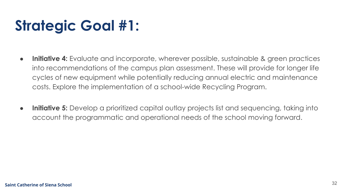- **● Initiative 4:** Evaluate and incorporate, wherever possible, sustainable & green practices into recommendations of the campus plan assessment. These will provide for longer life cycles of new equipment while potentially reducing annual electric and maintenance costs. Explore the implementation of a school-wide Recycling Program.
- **● Initiative 5:** Develop a prioritized capital outlay projects list and sequencing, taking into account the programmatic and operational needs of the school moving forward.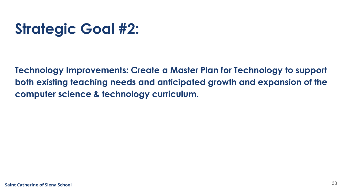**Technology Improvements: Create a Master Plan for Technology to support both existing teaching needs and anticipated growth and expansion of the computer science & technology curriculum.**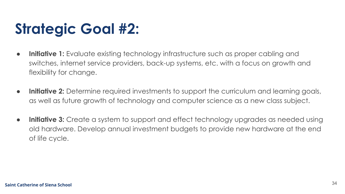- **● Initiative 1:** Evaluate existing technology infrastructure such as proper cabling and switches, internet service providers, back-up systems, etc. with a focus on growth and flexibility for change.
- **● Initiative 2:** Determine required investments to support the curriculum and learning goals, as well as future growth of technology and computer science as a new class subject.
- **● Initiative 3:** Create a system to support and effect technology upgrades as needed using old hardware. Develop annual investment budgets to provide new hardware at the end of life cycle.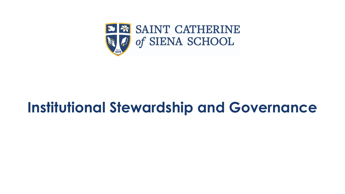

#### **Institutional Stewardship and Governance**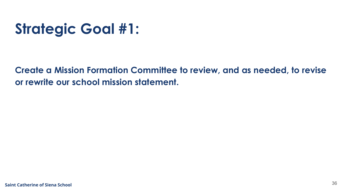**Create a Mission Formation Committee to review, and as needed, to revise or rewrite our school mission statement.**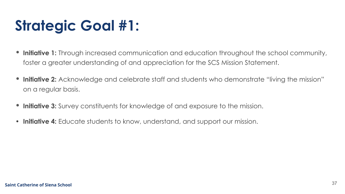- **• Initiative 1:** Through increased communication and education throughout the school community, foster a greater understanding of and appreciation for the SCS Mission Statement.
- **• Initiative 2:** Acknowledge and celebrate staff and students who demonstrate "living the mission" on a regular basis.
- **• Initiative 3:** Survey constituents for knowledge of and exposure to the mission.
- **• Initiative 4:** Educate students to know, understand, and support our mission.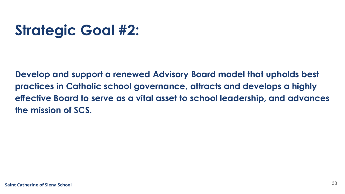**Develop and support a renewed Advisory Board model that upholds best practices in Catholic school governance, attracts and develops a highly effective Board to serve as a vital asset to school leadership, and advances the mission of SCS.**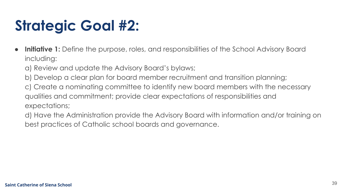- **● Initiative 1:** Define the purpose, roles, and responsibilities of the School Advisory Board including:
	- a) Review and update the Advisory Board's bylaws;
	- b) Develop a clear plan for board member recruitment and transition planning;
	- c) Create a nominating committee to identify new board members with the necessary qualities and commitment; provide clear expectations of responsibilities and expectations;
	- d) Have the Administration provide the Advisory Board with information and/or training on best practices of Catholic school boards and governance.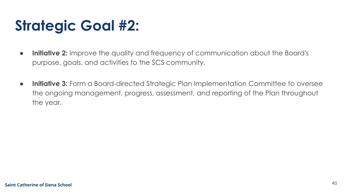- **● Initiative 2:** Improve the quality and frequency of communication about the Board's purpose, goals, and activities to the SCS community.
- **● Initiative 3:** Form a Board-directed Strategic Plan Implementation Committee to oversee the ongoing management, progress, assessment, and reporting of the Plan throughout the year.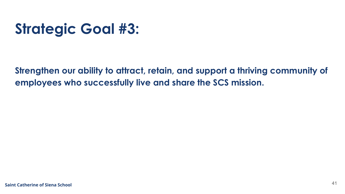**Strengthen our ability to attract, retain, and support a thriving community of employees who successfully live and share the SCS mission.**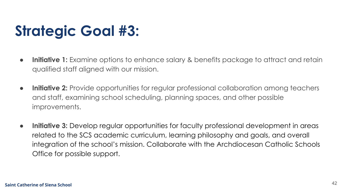- **● Initiative 1:** Examine options to enhance salary & benefits package to attract and retain qualified staff aligned with our mission.
- **● Initiative 2:** Provide opportunities for regular professional collaboration among teachers and staff, examining school scheduling, planning spaces, and other possible improvements.
- **● Initiative 3:** Develop regular opportunities for faculty professional development in areas related to the SCS academic curriculum, learning philosophy and goals, and overall integration of the school's mission. Collaborate with the Archdiocesan Catholic Schools Office for possible support.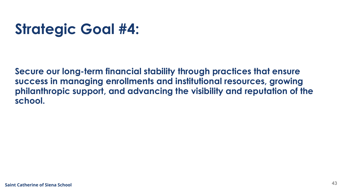**Secure our long-term financial stability through practices that ensure success in managing enrollments and institutional resources, growing philanthropic support, and advancing the visibility and reputation of the school.**